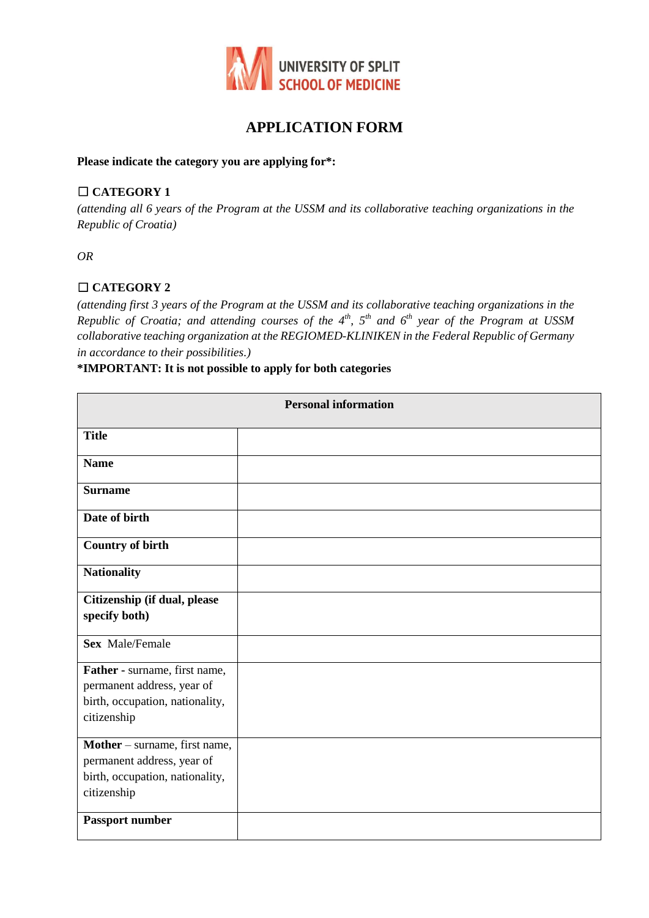

# **APPLICATION FORM**

#### **Please indicate the category you are applying for\*:**

# ☐ **CATEGORY 1**

*(attending all 6 years of the Program at the USSM and its collaborative teaching organizations in the Republic of Croatia)*

*OR*

# ☐ **CATEGORY 2**

*(attending first 3 years of the Program at the USSM and its collaborative teaching organizations in the Republic of Croatia; and attending courses of the 4th, 5th and 6th year of the Program at USSM collaborative teaching organization at the REGIOMED-KLINIKEN in the Federal Republic of Germany in accordance to their possibilities.)* 

#### **\*IMPORTANT: It is not possible to apply for both categories**

| <b>Personal information</b>                                                                                   |  |  |
|---------------------------------------------------------------------------------------------------------------|--|--|
| <b>Title</b>                                                                                                  |  |  |
| <b>Name</b>                                                                                                   |  |  |
| <b>Surname</b>                                                                                                |  |  |
| Date of birth                                                                                                 |  |  |
| <b>Country of birth</b>                                                                                       |  |  |
| <b>Nationality</b>                                                                                            |  |  |
| Citizenship (if dual, please<br>specify both)                                                                 |  |  |
| <b>Sex Male/Female</b>                                                                                        |  |  |
| Father - surname, first name,<br>permanent address, year of<br>birth, occupation, nationality,<br>citizenship |  |  |
| Mother - surname, first name,<br>permanent address, year of<br>birth, occupation, nationality,<br>citizenship |  |  |
| Passport number                                                                                               |  |  |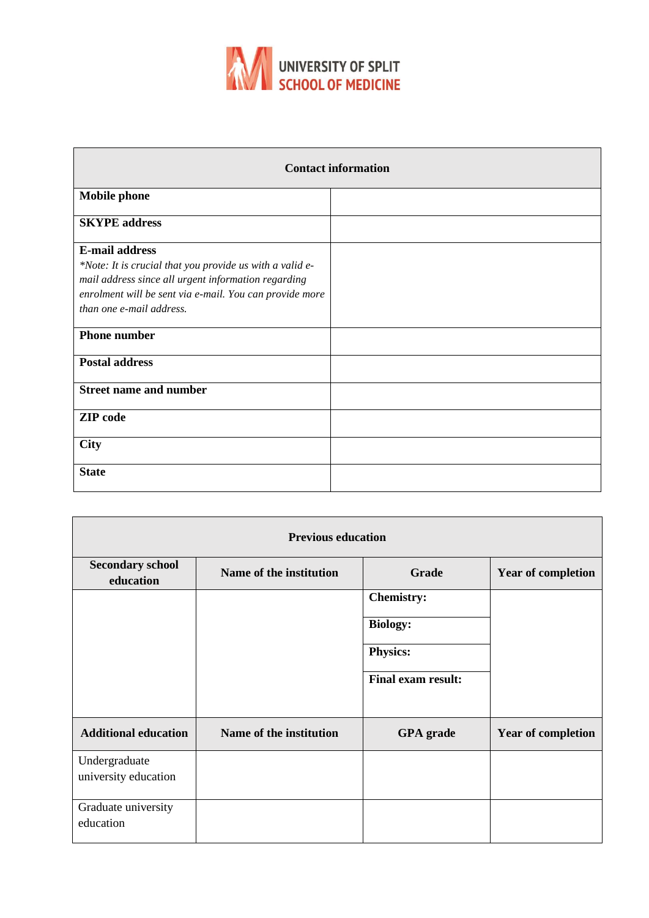

| <b>Contact information</b>                                                                                                                                                                                                      |  |  |  |
|---------------------------------------------------------------------------------------------------------------------------------------------------------------------------------------------------------------------------------|--|--|--|
| <b>Mobile phone</b>                                                                                                                                                                                                             |  |  |  |
| <b>SKYPE</b> address                                                                                                                                                                                                            |  |  |  |
| <b>E-mail address</b><br>*Note: It is crucial that you provide us with a valid e-<br>mail address since all urgent information regarding<br>enrolment will be sent via e-mail. You can provide more<br>than one e-mail address. |  |  |  |
| <b>Phone number</b>                                                                                                                                                                                                             |  |  |  |
| <b>Postal address</b>                                                                                                                                                                                                           |  |  |  |
| <b>Street name and number</b>                                                                                                                                                                                                   |  |  |  |
| <b>ZIP</b> code                                                                                                                                                                                                                 |  |  |  |
| <b>City</b>                                                                                                                                                                                                                     |  |  |  |
| <b>State</b>                                                                                                                                                                                                                    |  |  |  |

| <b>Previous education</b>            |                         |                           |                           |  |  |
|--------------------------------------|-------------------------|---------------------------|---------------------------|--|--|
| <b>Secondary school</b><br>education | Name of the institution | <b>Grade</b>              | <b>Year of completion</b> |  |  |
|                                      |                         | <b>Chemistry:</b>         |                           |  |  |
|                                      |                         | <b>Biology:</b>           |                           |  |  |
|                                      |                         | Physics:                  |                           |  |  |
|                                      |                         | <b>Final exam result:</b> |                           |  |  |
| <b>Additional education</b>          | Name of the institution | <b>GPA</b> grade          | <b>Year of completion</b> |  |  |
| Undergraduate                        |                         |                           |                           |  |  |
| university education                 |                         |                           |                           |  |  |
| Graduate university<br>education     |                         |                           |                           |  |  |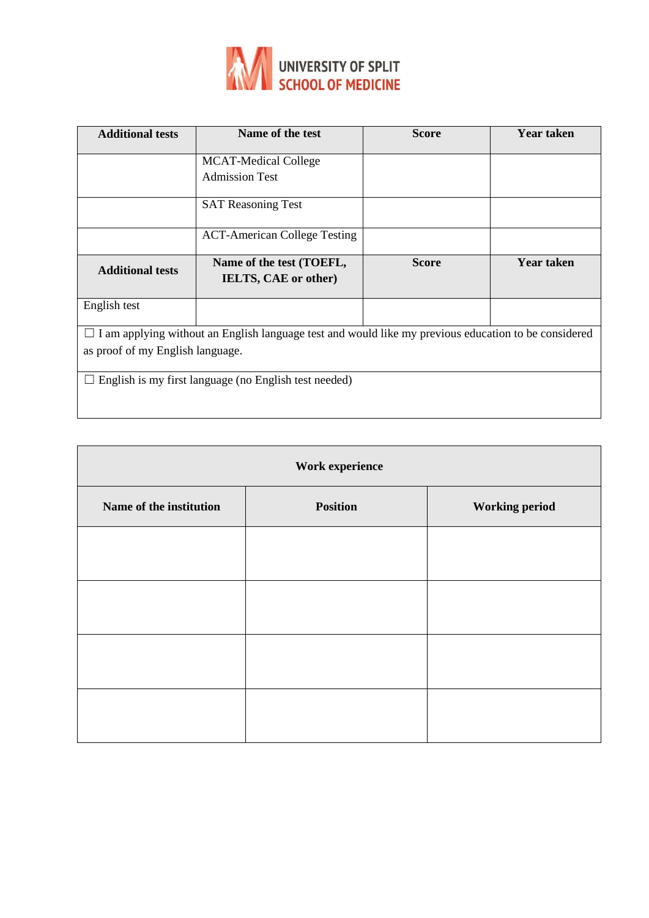

| <b>Additional tests</b>                                                                                     | Name of the test                    | <b>Score</b> | <b>Year taken</b> |  |
|-------------------------------------------------------------------------------------------------------------|-------------------------------------|--------------|-------------------|--|
|                                                                                                             | <b>MCAT-Medical College</b>         |              |                   |  |
|                                                                                                             | <b>Admission Test</b>               |              |                   |  |
|                                                                                                             | <b>SAT Reasoning Test</b>           |              |                   |  |
|                                                                                                             | <b>ACT-American College Testing</b> |              |                   |  |
| <b>Additional tests</b>                                                                                     | Name of the test (TOEFL,            | <b>Score</b> | <b>Year taken</b> |  |
|                                                                                                             | <b>IELTS, CAE or other)</b>         |              |                   |  |
| English test                                                                                                |                                     |              |                   |  |
| $\Box$ I am applying without an English language test and would like my previous education to be considered |                                     |              |                   |  |
| as proof of my English language.                                                                            |                                     |              |                   |  |
| English is my first language (no English test needed)                                                       |                                     |              |                   |  |

| Work experience         |                 |                       |  |
|-------------------------|-----------------|-----------------------|--|
| Name of the institution | <b>Position</b> | <b>Working period</b> |  |
|                         |                 |                       |  |
|                         |                 |                       |  |
|                         |                 |                       |  |
|                         |                 |                       |  |
|                         |                 |                       |  |
|                         |                 |                       |  |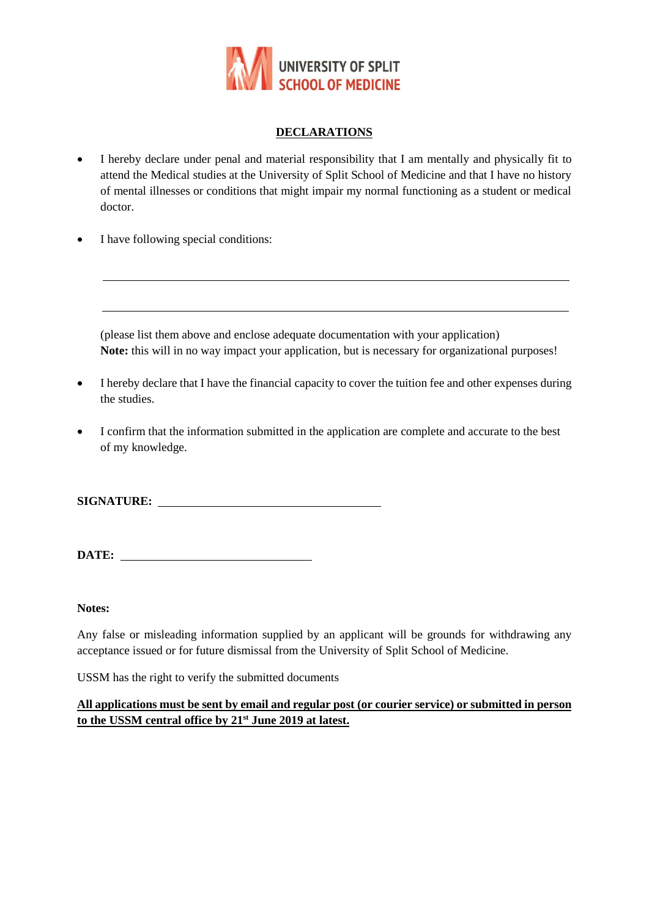

# **DECLARATIONS**

- I hereby declare under penal and material responsibility that I am mentally and physically fit to attend the Medical studies at the University of Split School of Medicine and that I have no history of mental illnesses or conditions that might impair my normal functioning as a student or medical doctor.
- I have following special conditions:

(please list them above and enclose adequate documentation with your application) **Note:** this will in no way impact your application, but is necessary for organizational purposes!

- I hereby declare that I have the financial capacity to cover the tuition fee and other expenses during the studies.
- I confirm that the information submitted in the application are complete and accurate to the best of my knowledge.

**SIGNATURE:** 

**DATE:** 

**Notes:**

Any false or misleading information supplied by an applicant will be grounds for withdrawing any acceptance issued or for future dismissal from the University of Split School of Medicine.

USSM has the right to verify the submitted documents

#### **All applications must be sent by email and regular post (or courier service) or submitted in person to the USSM central office by 21st June 2019 at latest.**